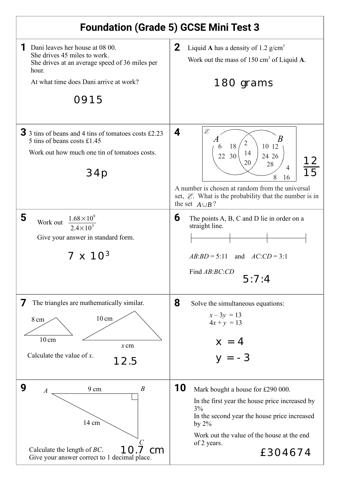## **Foundation (Grade 5) GCSE Mini Test 3**

| Dani leaves her house at 08 00.<br>She drives 45 miles to work.<br>She drives at an average speed of 36 miles per<br>hour.<br>At what time does Dani arrive at work?<br>0915 | $\mathbf{2}$<br>Liquid A has a density of 1.2 $g/cm^3$<br>Work out the mass of $150 \text{ cm}^3$ of Liquid A.<br>180 grams                                                                                                                                 |
|------------------------------------------------------------------------------------------------------------------------------------------------------------------------------|-------------------------------------------------------------------------------------------------------------------------------------------------------------------------------------------------------------------------------------------------------------|
| $\overline{3}$ 3 tins of beans and 4 tins of tomatoes costs £2.23<br>5 tins of beans costs £1.45<br>Work out how much one tin of tomatoes costs.<br>34p                      | $\mathscr{E}$<br>4<br>18<br>10 12<br>6<br>14<br>30<br>22<br>24 26<br>20<br>28<br>$\overline{4}$<br>8<br>16<br>A number is chosen at random from the universal<br>set, $\mathcal{E}$ . What is the probability that the number is in<br>the set $A \cup B$ ? |
| 5<br>$1.68 \times 10^{9}$<br>Work out<br>Give your answer in standard form.<br>$7 \times 10^{3}$                                                                             | 6<br>The points A, B, C and D lie in order on a<br>straight line.<br>$AB:BD = 5:11$ and $AC:CD = 3:1$<br>Find AB:BC:CD<br>5:7:4                                                                                                                             |
| The triangles are mathematically similar.<br>$10 \text{ cm}$<br>8 cm<br>$10 \text{ cm}$<br>$x$ cm<br>Calculate the value of $x$ .<br>12.5                                    | 8<br>Solve the simultaneous equations:<br>$x - 3y = 13$<br>$4x + y = 13$<br>$x = 4$<br>$y = -3$                                                                                                                                                             |
| 9<br>$\boldsymbol{B}$<br>9 cm<br>$\boldsymbol{A}$<br>14 cm<br>Calculate the length of $BC$ .<br>cm<br>Give your answer correct to 1 decimal place.                           | 10<br>Mark bought a house for £290 000.<br>In the first year the house price increased by<br>3%<br>In the second year the house price increased<br>by $2\%$<br>Work out the value of the house at the end<br>of 2 years.<br>£304674                         |